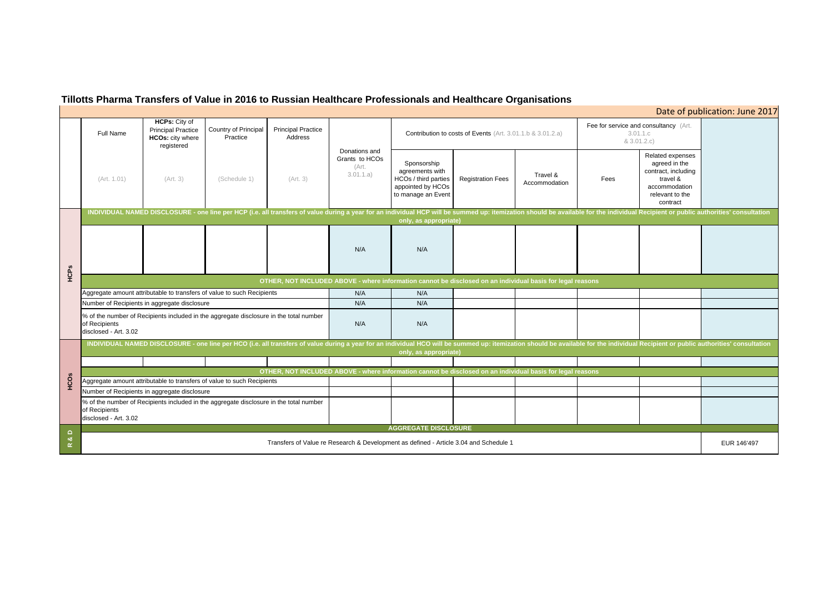# **Tillotts Pharma Transfers of Value in 2016 to Russian Healthcare Professionals and Healthcare Organisations**

#### Full Name**HCPs:** City of Principal Practice **HCOs:** city where registered Country of Principal PracticePrincipal Practice Address(Art. 1.01) (Art. 3) (Schedule 1) (Art. 3) Sponsorship agreements with HCOs / third parties appointed by HCOs to manage an Event Registration Fees Travel & Fees N/A N/AN/A N/A N/A N/AN/A N/A **OTHER, NOT INCLUDED ABOVE - where information cannot be disclosed on an individual basis for leg** Number of Recipients in aggregate disclosure Aggregate amount attributable to transfers of value to such Recipients Transfers of Value re Research & Development as defined - Article 3.04 and Schedule 1 Fee for service  $8<sub>1</sub>$ % of the number of Recipients included in the aggregate disclosure in the total number of Recipients disclosed - Art. 3.02 Aggregate amount attributable to transfers of value to such Recipients INDIVIDUAL NAMED DISCLOSURE - one line per HCO (i.e. all transfers of value during a year for an individual HCO will be summed up: itemization should be available for the individ **only, as appropriate) OTHER, NOT INCLUDED ABOVE - where information cannot be disclosed on an individual basis for legal reasons** Number of Recipients in aggregate disclosure INDIVIDUAL NAMED DISCLOSURE - one line per HCP (i.e. all transfers of value during a year for an individual HCP will be summed up: itemization should be available for the individ **only, as appropriate) AGGREGATE DISCLOSURE** Donations and Grants to HCOs (Art. 3.01.1.a) Contribution to costs of Events (Art. 3.01.1.b & 3.01.2.a) **Registed annount attributable to transfers of value to such Recipients<br>
Wumber of Recipients in aggregate disclosure<br>
% of the number of Recipients included in the aggregate disclosure in the total number<br>
of Recipients d**

| Date of publication: June 2017                                                                                       |             |
|----------------------------------------------------------------------------------------------------------------------|-------------|
| and consultancy (Art.<br>3.01.1.c<br>3.01.2.c)                                                                       |             |
| Related expenses<br>agreed in the<br>contract, including<br>travel &<br>accommodation<br>relevant to the<br>contract |             |
| ual Recipient or public authorities' consultation                                                                    |             |
|                                                                                                                      |             |
|                                                                                                                      |             |
|                                                                                                                      |             |
|                                                                                                                      |             |
| ual Recipient or public authorities' consultation                                                                    |             |
|                                                                                                                      |             |
|                                                                                                                      |             |
|                                                                                                                      |             |
|                                                                                                                      |             |
|                                                                                                                      |             |
|                                                                                                                      | EUR 146'497 |